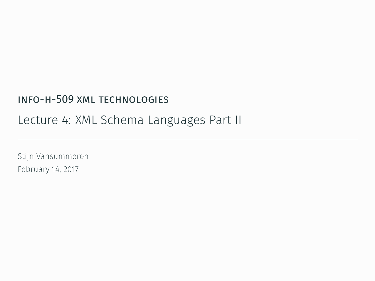### info-h-509 xml technologies

### Lecture 4: XML Schema Languages Part II

Stijn Vansummeren February 14, 2017

.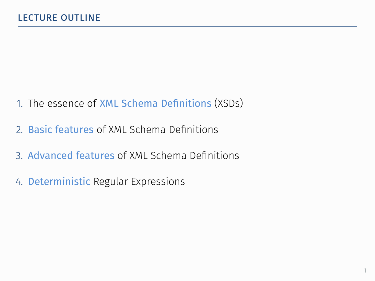- 1. The essence of XML Schema Definitions (XSDs)
- 2. Basic features of XML Schema Definitions
- 3. Advanced features of XML Schema Definitions
- 4. Deterministic Regular Expressions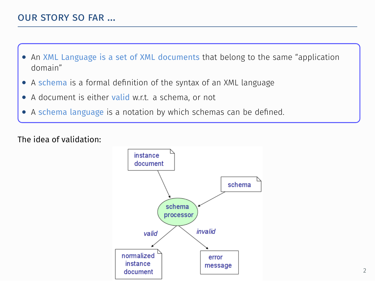- *•* An XML Language is a set of XML documents that belong to the same "application domain"
- . *•* A schema is a formal definition of the syntax of an XML language
- *•* A document is either valid w.r.t. a schema, or not
- *•* A schema language is a notation by which schemas can be defined.

The idea of validation:

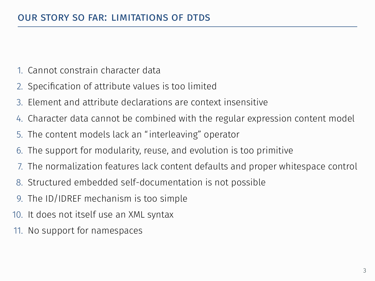- 1. Cannot constrain character data
- 2. Specification of attribute values is too limited
- 3. Element and attribute declarations are context insensitive
- 4. Character data cannot be combined with the regular expression content model
- 5. The content models lack an "interleaving" operator
- 6. The support for modularity, reuse, and evolution is too primitive
- 7. The normalization features lack content defaults and proper whitespace control
- 8. Structured embedded self-documentation is not possible
- 9. The ID/IDREF mechanism is too simple
- 10. It does not itself use an XML syntax
- 11. No support for namespaces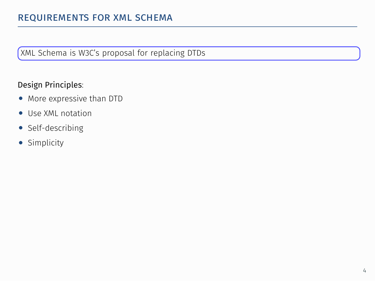### . XML Schema is W3C's proposal for replacing DTDs

### Design Principles:

- *•* More expressive than DTD
- *•* Use XML notation
- *•* Self-describing
- *•* Simplicity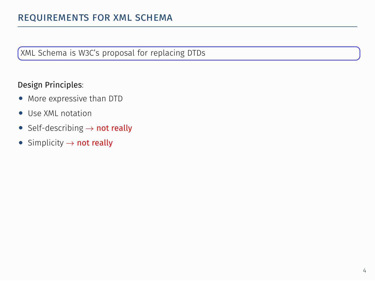### . XML Schema is W3C's proposal for replacing DTDs

### Design Principles:

- *•* More expressive than DTD
- *•* Use XML notation
- *•* Self-describing *→* not really
- *•* Simplicity *→* not really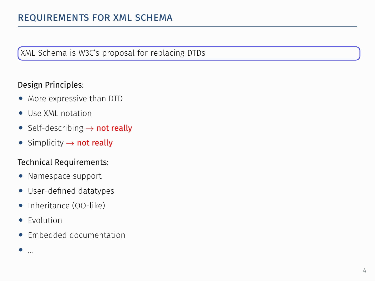### . XML Schema is W3C's proposal for replacing DTDs

### Design Principles:

- *•* More expressive than DTD
- *•* Use XML notation
- *•* Self-describing *→* not really
- *•* Simplicity *→* not really

### Technical Requirements:

- *•* Namespace support
- *•* User-defined datatypes
- *•* Inheritance (OO-like)
- *•* Evolution
- *•* Embedded documentation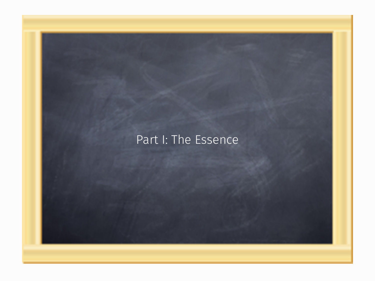### Part I: The Essence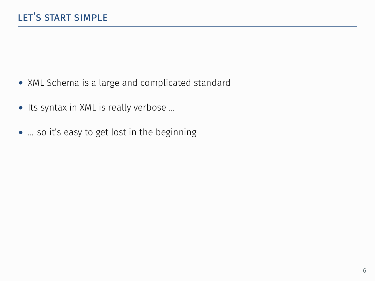- *•* XML Schema is a large and complicated standard
- *•* Its syntax in XML is really verbose ...
- *•* ... so it's easy to get lost in the beginning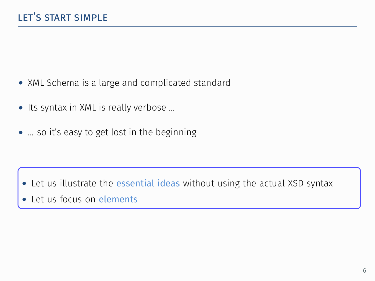- *•* XML Schema is a large and complicated standard
- *•* Its syntax in XML is really verbose ...
- ... so it's easy to get lost in the beginning

- . *•* Let us illustrate the essential ideas without using the actual XSD syntax
- *•* Let us focus on elements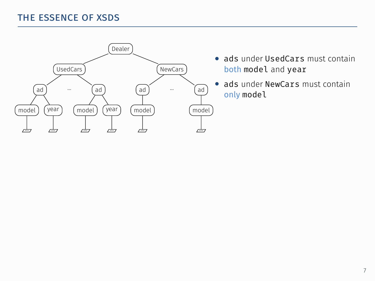

- *•* ads under UsedCars must contain both model and year
- ads under NewCars must contain only model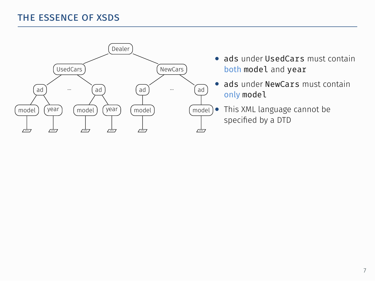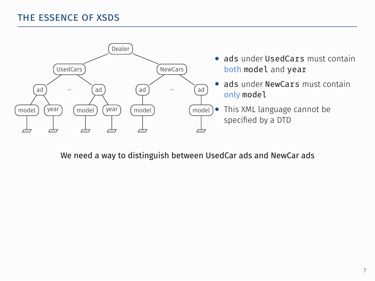

We need a way to distinguish between UsedCar ads and NewCar ads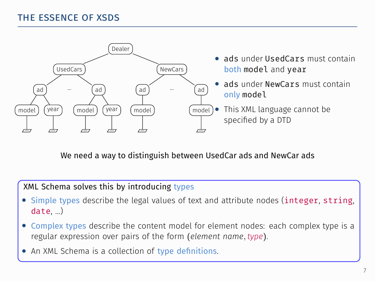

We need a way to distinguish between UsedCar ads and NewCar ads

### XML Schema solves this by introducing types

- Simple types describe the legal values of text and attribute nodes (integer, string, date, …)
- . *•* Complex types describe the content model for element nodes: each complex type is a regular expression over pairs of the form (*element name, type*).
- An XML Schema is a collection of type definitions.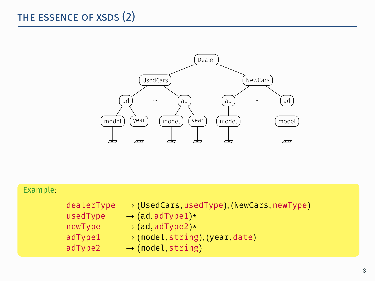

| Example: |            |                                                        |
|----------|------------|--------------------------------------------------------|
|          | dealerType | $\rightarrow$ (UsedCars, usedType), (NewCars, newType) |
|          | usedType   | $\rightarrow$ (ad, adType1)*                           |
|          | newType    | $\rightarrow$ (ad, adType2)*                           |
|          | adType1    | $\rightarrow$ (model, string), (year, date)            |
|          | adType2    | $\rightarrow$ (model, string)                          |
|          |            |                                                        |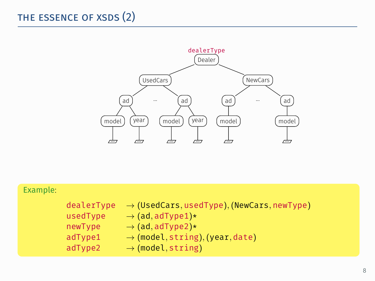

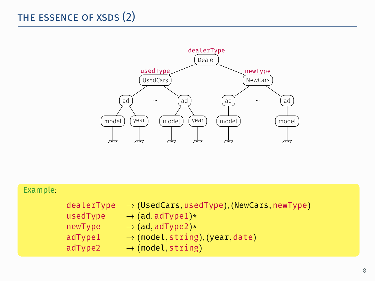

| Example: |            |                                                        |
|----------|------------|--------------------------------------------------------|
|          | dealerType | $\rightarrow$ (UsedCars, usedType), (NewCars, newType) |
|          | usedType   | $\rightarrow$ (ad, adType1)*                           |
|          | newType    | $\rightarrow$ (ad, adType2)*                           |
|          | adType1    | $\rightarrow$ (model, string), (year, date)            |
|          | adType2    | $\rightarrow$ (model, string)                          |
|          |            |                                                        |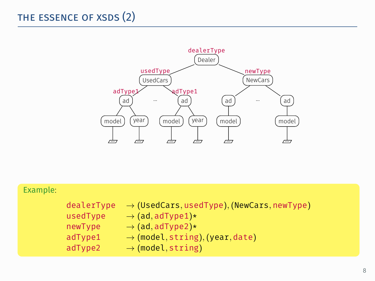

| Example: |                                                         |                                                                                                                                                                                                        |
|----------|---------------------------------------------------------|--------------------------------------------------------------------------------------------------------------------------------------------------------------------------------------------------------|
|          | dealerType<br>usedType<br>newType<br>adType1<br>adType2 | $\rightarrow$ (UsedCars, usedType), (NewCars, newType)<br>$\rightarrow$ (ad, adType1)*<br>$\rightarrow$ (ad, adType2)*<br>$\rightarrow$ (model, string), (year, date)<br>$\rightarrow$ (model, string) |
|          |                                                         |                                                                                                                                                                                                        |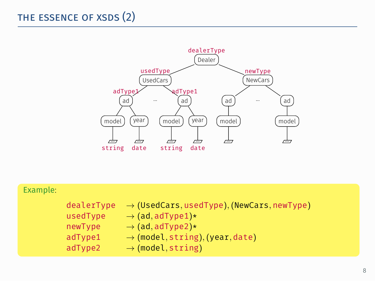

| Example: |            |                                                        |
|----------|------------|--------------------------------------------------------|
|          | dealerType | $\rightarrow$ (UsedCars, usedType), (NewCars, newType) |
|          | usedType   | $\rightarrow$ (ad, adType1)*                           |
|          | newType    | $\rightarrow$ (ad, adType2)*                           |
|          | adType1    | $\rightarrow$ (model, string), (year, date)            |
|          | adType2    | $\rightarrow$ (model, string)                          |
|          |            |                                                        |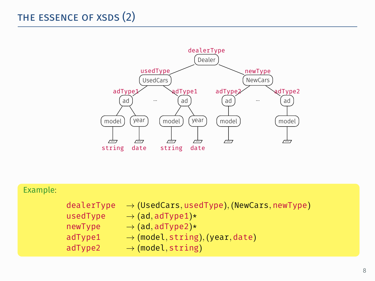

| Example: |            |                                                        |
|----------|------------|--------------------------------------------------------|
|          | dealerType | $\rightarrow$ (UsedCars, usedType), (NewCars, newType) |
|          | usedType   | $\rightarrow$ (ad, adType1)*                           |
|          | newType    | $\rightarrow$ (ad, adType2)*                           |
|          | adType1    | $\rightarrow$ (model, string), (year, date)            |
|          | adType2    | $\rightarrow$ (model, string)                          |
|          |            |                                                        |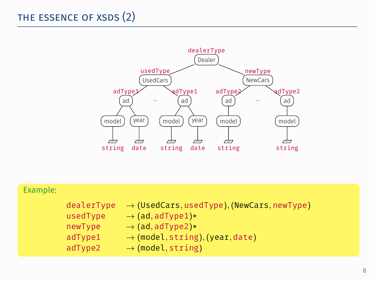

| Example: |            |                                                        |
|----------|------------|--------------------------------------------------------|
|          | dealerType | $\rightarrow$ (UsedCars, usedType), (NewCars, newType) |
|          | usedType   | $\rightarrow$ (ad, adType1)*                           |
|          | newType    | $\rightarrow$ (ad, adType2)*                           |
|          | adType1    | $\rightarrow$ (model, string), (year, date)            |
|          | adType2    | $\rightarrow$ (model, string)                          |
|          |            |                                                        |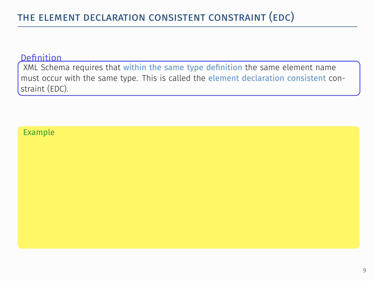must occur with the same type. This is called the element declaration consistent con-XML Schema requires that within the same type definition the same element name straint (EDC).

#### Example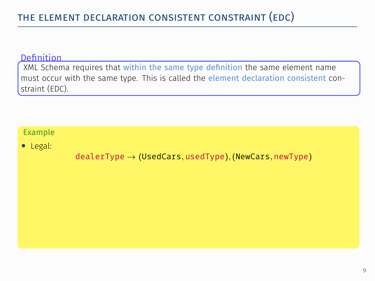must occur with the same type. This is called the element declaration consistent con-XML Schema requires that within the same type definition the same element name straint (EDC).

### Example

*•* Legal:

dealerType *→* (UsedCars*,* usedType)*,* (NewCars*,* newType)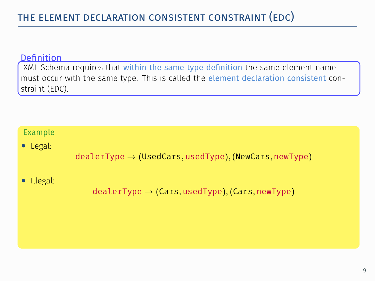must occur with the same type. This is called the element declaration consistent con-XML Schema requires that within the same type definition the same element name straint (EDC).

### Example

*•* Legal:

dealerType *→* (UsedCars*,* usedType)*,* (NewCars*,* newType)

### *•* Illegal:

. dealerType *→* (Cars*,* usedType)*,* (Cars*,* newType)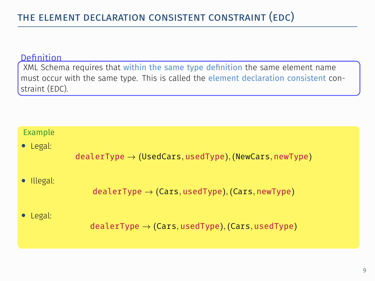must occur with the same type. This is called the element declaration consistent con-XML Schema requires that within the same type definition the same element name straint (EDC).

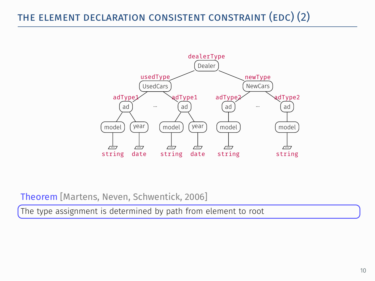

Theorem [Martens, Neven, Schwentick, 2006]

. The type assignment is determined by path from element to root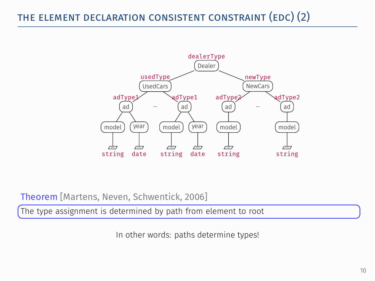

Theorem [Martens, Neven, Schwentick, 2006]

. The type assignment is determined by path from element to root

In other words: paths determine types!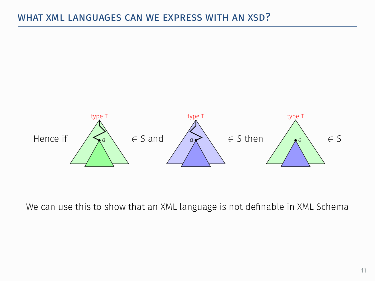

We can use this to show that an XML language is not definable in XML Schema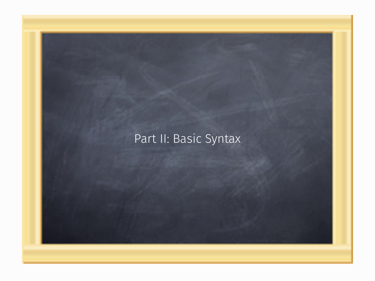### Part II: Basic Syntax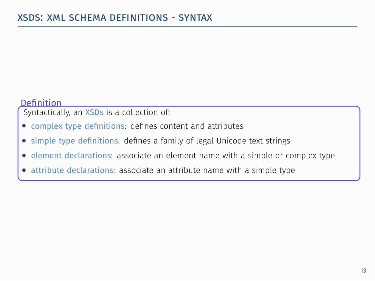Syntactically, an XSDs is a collection of:

- *•* complex type definitions: defines content and attributes
- . *•* simple type definitions: defines a family of legal Unicode text strings
- *•* element declarations: associate an element name with a simple or complex type
- *•* attribute declarations: associate an attribute name with a simple type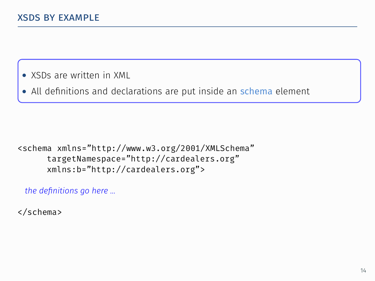- *•* XSDs are written in XML
- All definitions and declarations are put inside an **schema** element

### <schema xmlns="http://www.w3.org/2001/XMLSchema" targetNamespace="http://cardealers.org" xmlns:b="http://cardealers.org">

*the definitions go here …*

</schema>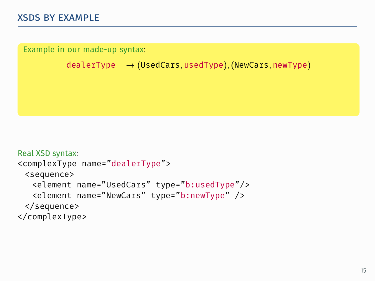Example in our made-up syntax:

dealerType *→* (UsedCars*,* usedType)*,* (NewCars*,* newType)

```
Real XSD syntax:
<complexType name="dealerType">
 <sequence>
   <element name="UsedCars" type="b:usedType"/>
   <element name="NewCars" type="b:newType" />
 </sequence>
</complexType>
```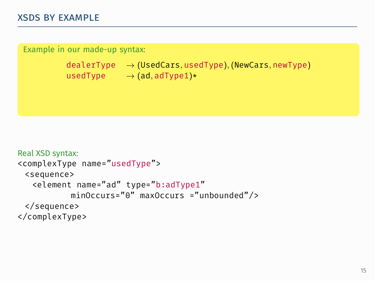```
.
usedType → (ad, adType1)*
Example in our made-up syntax:
         dealerType → (UsedCars, usedType), (NewCars, newType)
```

```
Real XSD syntax:
<complexType name="usedType">
 <sequence>
   <element name="ad" type="b:adType1"
           minOccurs="0" maxOccurs ="unbounded"/>
 </sequence>
</complexType>
```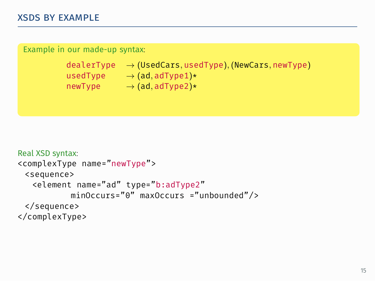#### Example in our made-up syntax:

```
.
usedType → (ad, adType1)*
dealerType → (UsedCars, usedType), (NewCars, newType)
newType → (ad, adType2)*
```

```
Real XSD syntax:
<complexType name="newType">
 <sequence>
   <element name="ad" type="b:adType2"
           minOccurs="0" maxOccurs ="unbounded"/>
 </sequence>
</complexType>
```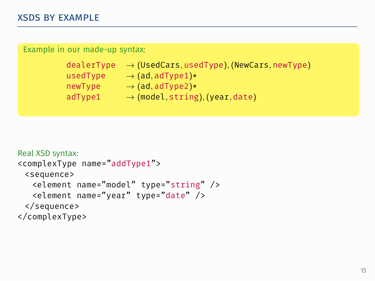#### Example in our made-up syntax:

| dealerType | $\rightarrow$ (UsedCars, usedType), (NewCars, newType) |
|------------|--------------------------------------------------------|
| usedType   | $\rightarrow$ (ad, adType1)*                           |
| newType    | $\rightarrow$ (ad, adType2)*                           |
| adType1    | $\rightarrow$ (model, string), (year, date)            |
|            |                                                        |

```
Real XSD syntax:
<complexType name="addType1">
 <sequence>
   <element name="model" type="string" />
   <element name="year" type="date" />
 </sequence>
</complexType>
```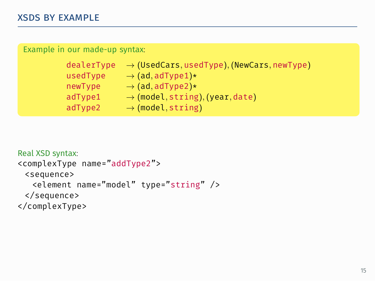| Example in our made-up syntax. |                                     |
|--------------------------------|-------------------------------------|
| dealerType                     | $\rightarrow$ (UsedCars, usedType). |
| usedType                       | $\rightarrow$ (ad, adType1)*        |

newType *→* (ad*,* adType2)\*

| $i$ ewiype | $\rightarrow$ (au, au i ypez j $\sim$       |  |
|------------|---------------------------------------------|--|
| adType1    | $\rightarrow$ (model, string), (year, date) |  |
| adType2    | $\rightarrow$ (model, string)               |  |
|            |                                             |  |

dealerType *→* (UsedCars*,* usedType)*,* (NewCars*,* newType)

```
Real XSD syntax:
<complexType name="addType2">
 <sequence>
   <element name="model" type="string" />
 </sequence>
</complexType>
```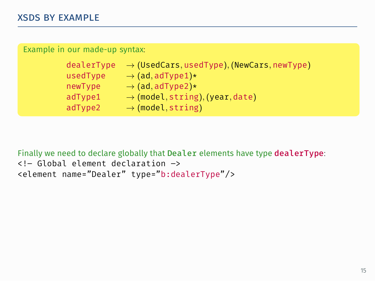| Example in our made-up syntax: |                                                        |  |
|--------------------------------|--------------------------------------------------------|--|
| dealerType                     | $\rightarrow$ (UsedCars, usedType), (NewCars, newType) |  |
| usedType                       | $\rightarrow$ (ad, adType1)*                           |  |
| newType                        | $\rightarrow$ (ad, adType2)*                           |  |
| adType1                        | $\rightarrow$ (model, string), (year, date)            |  |
| adType2                        | $\rightarrow$ (model, string)                          |  |

Finally we need to declare globally that Dealer elements have type dealerType: <!– Global element declaration –> <element name="Dealer" type="b:dealerType"/>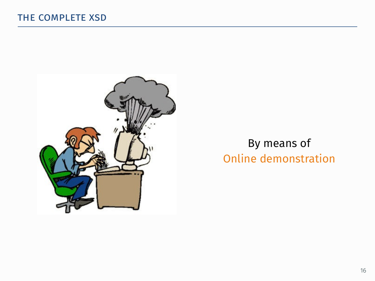

## By means of Online demonstration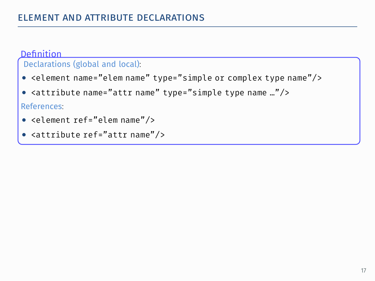## Declarations (global and local):

- *•* <element name="elem name" type="simple or complex type name"/>
- . *•* <attribute name="attr name" type="simple type name …"/>

References:

- *•* <element ref="elem name"/>
- *•* <attribute ref="attr name"/>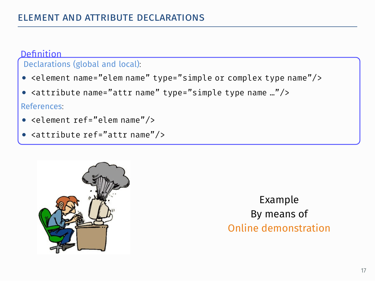## Declarations (global and local):

- *•* <element name="elem name" type="simple or complex type name"/>
- . *•* <attribute name="attr name" type="simple type name …"/>

References:

- *•* <element ref="elem name"/>
- *•* <attribute ref="attr name"/>



Example By means of Online demonstration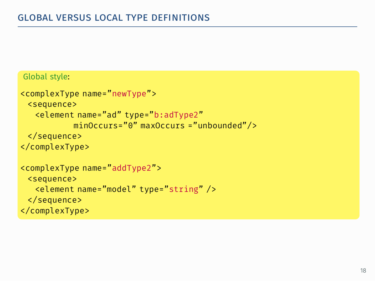### Global style:

```
<complexType name="newType">
 <sequence>
   <element name="ad" type="b:adType2"
           minOccurs="0" maxOccurs ="unbounded"/>
 </sequence>
</complexType>
<complexType name="addType2">
 <sequence>
   <element name="model" type="string" />
 </sequence>
</complexType>
```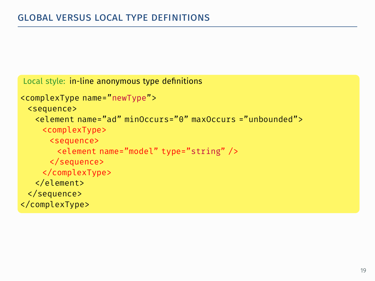```
Local style: in-line anonymous type definitions
<complexType name="newType">
 <sequence>
   <element name="ad" minOccurs="0" maxOccurs ="unbounded">
    <complexType>
      <sequence>
       <element name="model" type="string" />
      </sequence>
    </complexType>
   </element>
 </sequence>
</complexType>
```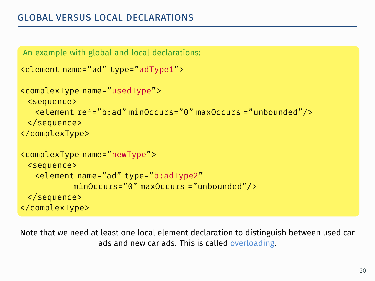```
An example with global and local declarations:
<element name="ad" type="adType1">
<complexType name="usedType">
 <sequence>
   <element ref="b:ad" minOccurs="0" maxOccurs ="unbounded"/>
 </sequence>
</complexType>
<complexType name="newType">
 <sequence>
   <element name="ad" type="b:adType2"
           minOccurs="0" maxOccurs ="unbounded"/>
 </sequence>
</complexType>
```
Note that we need at least one local element declaration to distinguish between used car ads and new car ads. This is called overloading.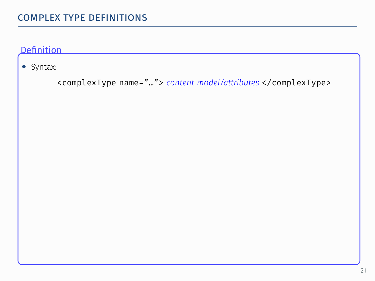# complex type definitions .

### Definition

*•* Syntax:

<complexType name="…"> *content model/attributes* </complexType>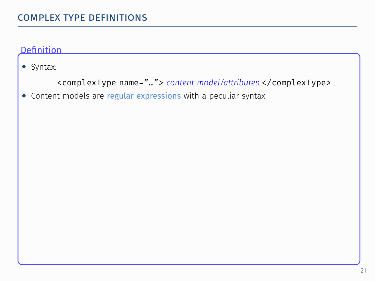*•* Syntax:

```
<complexType name="…"> content model/attributes </complexType>
```
*•* Content models are regular expressions with a peculiar syntax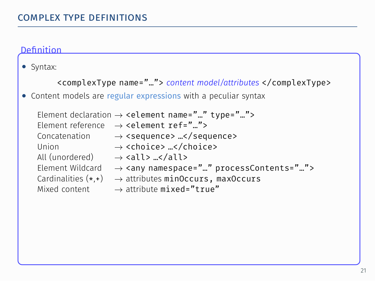*•* Syntax:

```
<complexType name="…"> content model/attributes </complexType>
• Content models are regular expressions with a peculiar syntax
   Element declaration → <element name="…" type="…">
   Element reference → <element ref="…">
   Concatenation → <sequence> …</sequence><br>Ilnion → <choice> </choice>
                   → <choice> …</choice>
   All (unordered) → <all> …</all>
   Element Wildcard → <any namespace="…" processContents="…">
   Cardinalities (*,+) → attributes minOccurs, maxOccurs
   Mixed content → attribute mixed="true"
```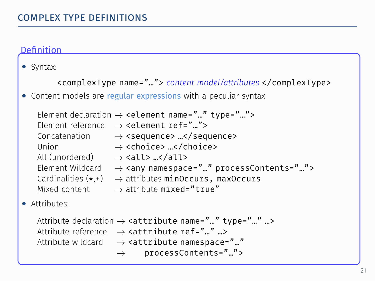*•* Syntax:

```
<complexType name="…"> content model/attributes </complexType>
• Content models are regular expressions with a peculiar syntax
   Element declaration → <element name="…" type="…">
   Element reference → <element ref="…">
   Concatenation → <sequence> ...</sequence>
   Union → <choice> …</choice>
   All (unordered) → <all> …</all>
   Element Wildcard → <any namespace="…" processContents="…">
   Cardinalities (*,+) → attributes minOccurs, maxOccurs
   Mixed content → attribute mixed="true"
• Attributes:
   Attribute declaration → <attribute name="…" type="…" …>
   Attribute reference → <attribute ref="…" …>
   Attribute wildcard → <attribute namespace="…"
                    → processContents="…">
```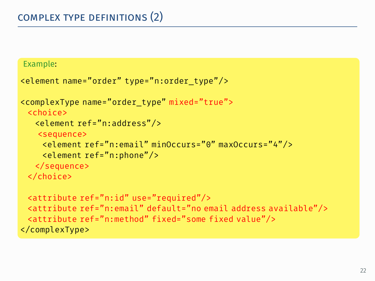```
.
<element ref="n:email" minOccurs="0" maxOccurs="4"/>
Example:
<element name="order" type="n:order_type"/>
<complexType name="order_type" mixed="true">
 <choice>
  <element ref="n:address"/>
   <sequence>
    <element ref="n:phone"/>
   </sequence>
 </choice>
 <attribute ref="n:id" use="required"/>
 <attribute ref="n:email" default="no email address available"/>
 <attribute ref="n:method" fixed="some fixed value"/>
</complexType>
```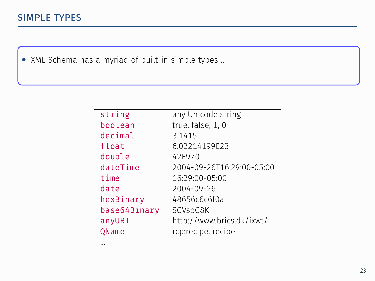. *•* XML Schema has a myriad of built-in simple types …

| string       | any Unicode string        |
|--------------|---------------------------|
| boolean      | true, false, 1, 0         |
| decimal      | 3.1415                    |
| float        | 6.02214199F23             |
| double       | 42F970                    |
| dateTime     | 2004-09-26T16:29:00-05:00 |
| time         | 16:29:00-05:00            |
| date         | 2004-09-26                |
| hexBinary    | 48656c6c6f0a              |
| base64Binary | SGVsbG8K                  |
| anyURI       | http://www.brics.dk/ixwt/ |
| QName        | rcp:recipe, recipe        |
|              |                           |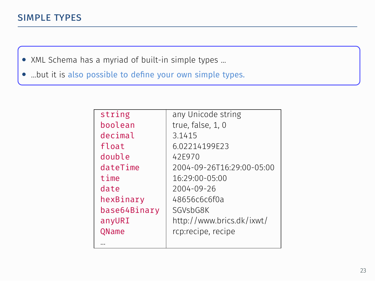# simple types .

- . *•* XML Schema has a myriad of built-in simple types …
- *•* …but it is also possible to define your own simple types.

| string       | any Unicode string        |
|--------------|---------------------------|
| boolean      | true, false, 1, 0         |
| decimal      | 3.1415                    |
| float        | 6.02214199F23             |
| double       | 42F970                    |
| dateTime     | 2004-09-26T16:29:00-05:00 |
| time         | 16:29:00-05:00            |
| date         | 2004-09-26                |
| hexBinary    | 48656c6c6f0a              |
| base64Binarv | SGVsbG8K                  |
| anyURI       | http://www.brics.dk/ixwt/ |
| QName        | rcp:recipe, recipe        |
|              |                           |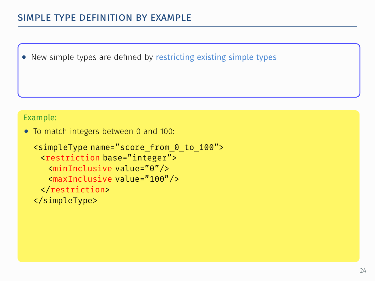*•* New simple types are defined by restricting existing simple types

### Example:

*•* To match integers between 0 and 100:

```
<simpleType name="score_from_0_to_100">
 <restriction base="integer">
   <minInclusive value="0"/>
   <maxInclusive value="100"/>
 </restriction>
</simpleType>
```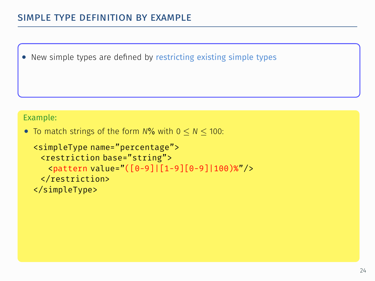*•* New simple types are defined by restricting existing simple types

### Example:

*•* To match strings of the form *N*% with 0 *≤ N ≤* 100:

```
<simpleType name="percentage">
 <restriction base="string">
  <pattern value="([0-9]|[1-9][0-9]|100)%"/>
 </restriction>
</simpleType>
```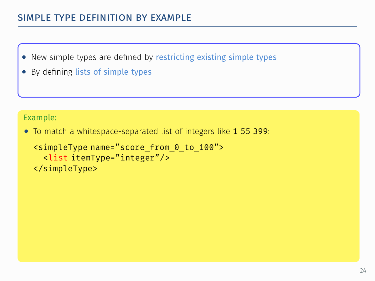- *•* New simple types are defined by restricting existing simple types
- *•* By defining lists of simple types

### Example:

*•* To match a whitespace-separated list of integers like 1 55 399:

```
<simpleType name="score_from_0_to_100">
  <list itemType="integer"/>
</simpleType>
```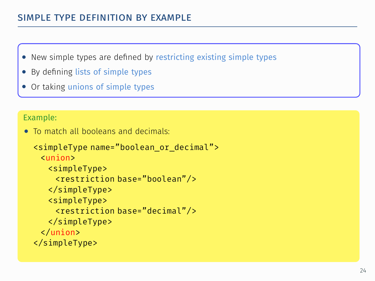- *•* New simple types are defined by restricting existing simple types
- *•* By defining lists of simple types
- *•* Or taking unions of simple types

### Example:

*•* To match all booleans and decimals:

```
.
<restriction base="boolean"/>
<simpleType name="boolean_or_decimal">
 <union>
  <simpleType>
   </simpleType>
   <simpleType>
    <restriction base="decimal"/>
   </simpleType>
 </union>
</simpleType>
```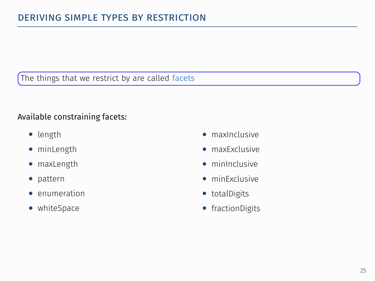## The things that we restrict by are called facets

### Available constraining facets:

- *•* length
- *•* minLength
- *•* maxLength
- *•* pattern
- *•* enumeration
- *•* whiteSpace
- *•* maxInclusive
- *•* maxExclusive
- *•* minInclusive
- *•* minExclusive
- *•* totalDigits
- *•* fractionDigits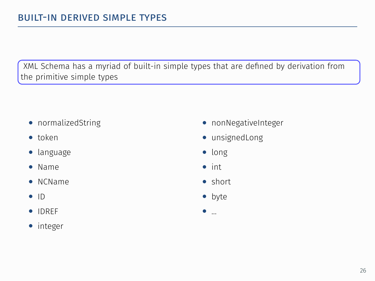. XML Schema has a myriad of built-in simple types that are defined by derivation from the primitive simple types

- *•* normalizedString
- *•* token
- *•* language
- *•* Name
- *•* NCName
- *•* ID
- *•* IDREF
- *•* integer
- *•* nonNegativeInteger
- *•* unsignedLong
- *•* long
- *•* int
- *•* short
- *•* byte
- *•* ...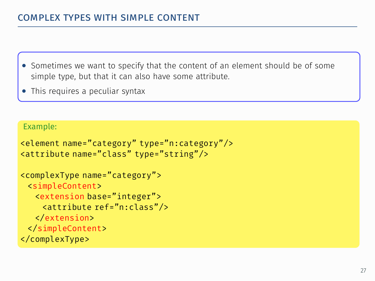- . simple type, but that it can also have some attribute. *•* Sometimes we want to specify that the content of an element should be of some
- *•* This requires a peculiar syntax

### Example:

```
<element name="category" type="n:category"/>
<attribute name="class" type="string"/>
```

```
<complexType name="category">
 <simpleContent>
   <extension base="integer">
    <attribute ref="n:class"/>
   </extension>
 </simpleContent>
</complexType>
```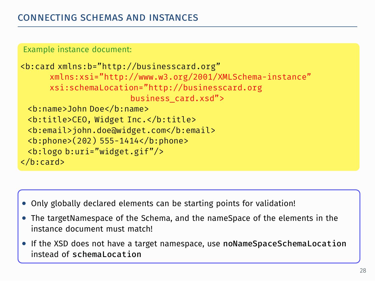Example instance document:

```
.
business_card.xsd">
<b:card xmlns:b="http://businesscard.org"
      xmlns:xsi="http://www.w3.org/2001/XMLSchema-instance"
      xsi:schemaLocation="http://businesscard.org
 <b:name>John Doe</b:name>
 <b:title>CEO, Widget Inc.</b:title>
 <b:email>john.doe@widget.com</b:email>
 <b:phone>(202) 555-1414</b:phone>
 <b:logo b:uri="widget.gif"/>
</b:card>
```
- *•* Only globally declared elements can be starting points for validation!
- . *•* The targetNamespace of the Schema, and the nameSpace of the elements in the instance document must match!
- *•* If the XSD does not have a target namespace, use noNameSpaceSchemaLocation instead of schemaLocation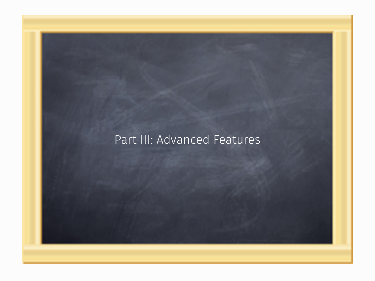## Part III: Advanced Features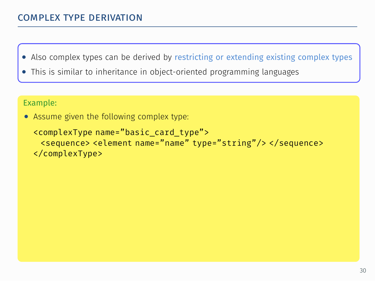# complex type derivation .

- . *•* Also complex types can be derived by restricting or extending existing complex types
- *•* This is similar to inheritance in object-oriented programming languages

### Example:

*•* Assume given the following complex type:

```
<complexType name="basic_card_type">
 <sequence> <element name="name" type="string"/> </sequence>
</complexType>
```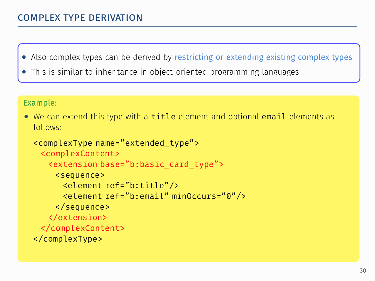# complex type derivation .

- . *•* Also complex types can be derived by restricting or extending existing complex types
- *•* This is similar to inheritance in object-oriented programming languages

#### Example:

• We can extend this type with a title element and optional email elements as follows:

```
<complexType name="extended_type">
 <complexContent>
   <extension base="b:basic_card_type">
    <sequence>
      <element ref="b:title"/>
      <element ref="b:email" minOccurs="0"/>
    </sequence>
  </extension>
 </complexContent>
</complexType>
```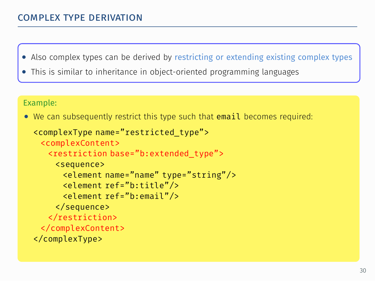# complex type derivation .

- . *•* Also complex types can be derived by restricting or extending existing complex types
- *•* This is similar to inheritance in object-oriented programming languages

#### Example:

• We can subsequently restrict this type such that email becomes required:

```
.
<element name="name" type="string"/>
<complexType name="restricted_type">
 <complexContent>
   <restriction base="b:extended_type">
    <sequence>
      <element ref="b:title"/>
      <element ref="b:email"/>
    </sequence>
  </restriction>
 </complexContent>
</complexType>
```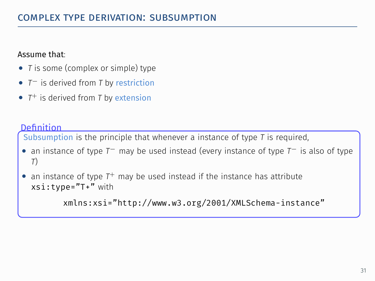### Assume that:

- *• T* is some (complex or simple) type
- *• T<sup>−</sup>* is derived from *T* by restriction
- *• T* <sup>+</sup> is derived from *T* by extension

### Definition

Subsumption is the principle that whenever a instance of type *T* is required,

- *•* an instance of type *T<sup>−</sup>* may be used instead (every instance of type *T<sup>−</sup>* is also of type *T*)
- . *•* an instance of type *T* <sup>+</sup> may be used instead if the instance has attribute xsi:type="T+" with

xmlns:xsi="http://www.w3.org/2001/XMLSchema-instance"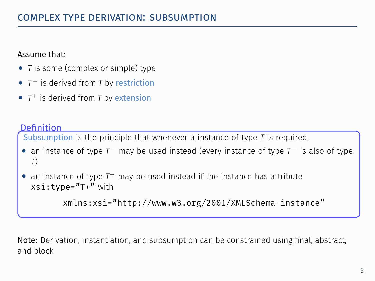### Assume that:

- *• T* is some (complex or simple) type
- *• T<sup>−</sup>* is derived from *T* by restriction
- *• T* <sup>+</sup> is derived from *T* by extension

### Definition

Subsumption is the principle that whenever a instance of type *T* is required,

- *•* an instance of type *T<sup>−</sup>* may be used instead (every instance of type *T<sup>−</sup>* is also of type *T*)
- . *•* an instance of type *T* <sup>+</sup> may be used instead if the instance has attribute xsi:type="T+" with

xmlns:xsi="http://www.w3.org/2001/XMLSchema-instance"

Note: Derivation, instantiation, and subsumption can be constrained using final, abstract, and block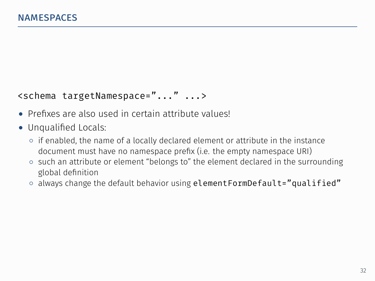## <schema targetNamespace="..." ...>

- *•* Prefixes are also used in certain attribute values!
- *•* Unqualified Locals:
	- *◦* if enabled, the name of a locally declared element or attribute in the instance document must have no namespace prefix (i.e. the empty namespace URI)
	- *◦* such an attribute or element "belongs to" the element declared in the surrounding global definition
	- *◦* always change the default behavior using elementFormDefault="qualified"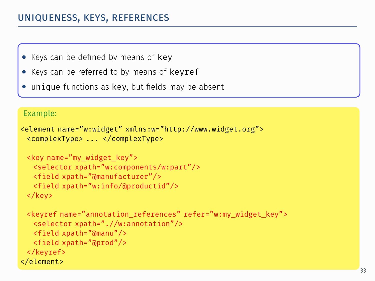# uniqueness, keys, references .

- *•* Keys can be defined by means of key
- . *•* Keys can be referred to by means of keyref
- *unique functions as key, but fields may be absent*

#### Example:

```
<element name="w:widget" xmlns:w="http://www.widget.org">
 <complexType> ... </complexType>
```

```
<key name="my_widget_key">
 <selector xpath="w:components/w:part"/>
 <field xpath="@manufacturer"/>
 <field xpath="w:info/@productid"/>
</key>
```

```
<keyref name="annotation_references" refer="w:my_widget_key">
  <selector xpath=".//w:annotation"/>
  <field xpath="@manu"/>
  <field xpath="@prod"/>
 </keyref>
</element>
```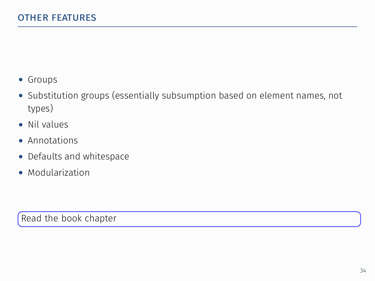- *•* Groups
- *•* Substitution groups (essentially subsumption based on element names, not types)
- *•* Nil values
- *•* Annotations
- *•* Defaults and whitespace
- *•* Modularization

Read the book chapter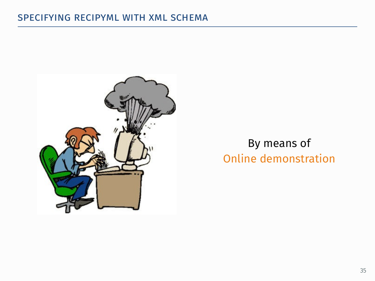

## By means of Online demonstration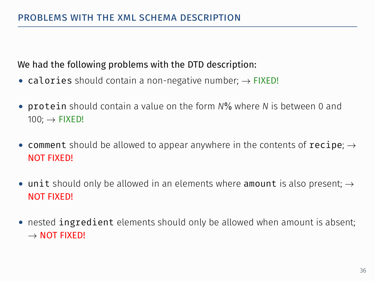## We had the following problems with the DTD description:

- *•* calories should contain a non-negative number; *→* FIXED!
- *•* protein should contain a value on the form *N*% where *N* is between 0 and 100; *→* FIXED!
- *•* comment should be allowed to appear anywhere in the contents of recipe; *→* NOT FIXED!
- *•* unit should only be allowed in an elements where amount is also present; *→* NOT FIXED!
- *•* nested ingredient elements should only be allowed when amount is absent; *→* NOT FIXED!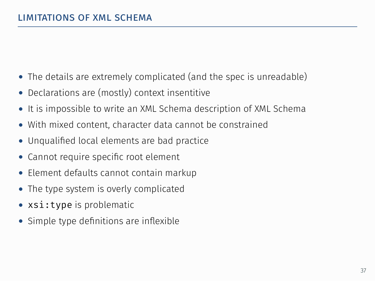- *•* The details are extremely complicated (and the spec is unreadable)
- Declarations are (mostly) context insentitive
- *•* It is impossible to write an XML Schema description of XML Schema
- *•* With mixed content, character data cannot be constrained
- *•* Unqualified local elements are bad practice
- *•* Cannot require specific root element
- *•* Element defaults cannot contain markup
- *•* The type system is overly complicated
- *•* xsi:type is problematic
- *•* Simple type definitions are inflexible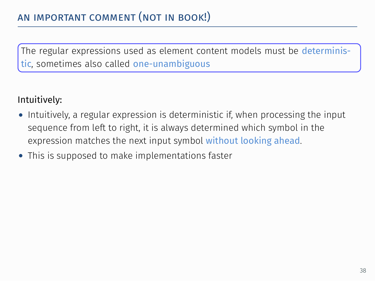. The regular expressions used as element content models must be deterministic, sometimes also called one-unambiguous

## Intuitively:

- *•* Intuitively, a regular expression is deterministic if, when processing the input sequence from left to right, it is always determined which symbol in the expression matches the next input symbol without looking ahead.
- *•* This is supposed to make implementations faster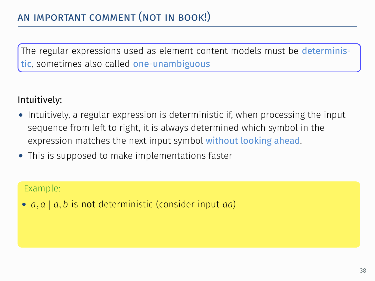. The regular expressions used as element content models must be deterministic, sometimes also called one-unambiguous

## Intuitively:

- *•* Intuitively, a regular expression is deterministic if, when processing the input sequence from left to right, it is always determined which symbol in the expression matches the next input symbol without looking ahead.
- *•* This is supposed to make implementations faster

### Example:

*• a, a | a, b* is not deterministic (consider input *aa*)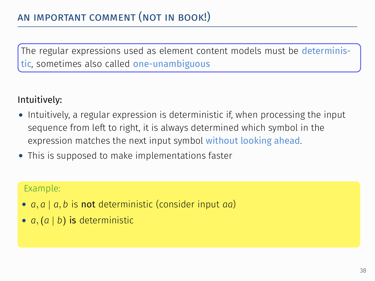. The regular expressions used as element content models must be deterministic, sometimes also called one-unambiguous

# Intuitively:

- *•* Intuitively, a regular expression is deterministic if, when processing the input sequence from left to right, it is always determined which symbol in the expression matches the next input symbol without looking ahead.
- *•* This is supposed to make implementations faster

- *• a, a | a, b* is not deterministic (consider input *aa*)
- *• a,*(*a | b*) is deterministic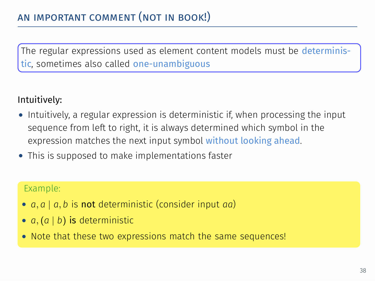. The regular expressions used as element content models must be deterministic, sometimes also called one-unambiguous

# Intuitively:

- *•* Intuitively, a regular expression is deterministic if, when processing the input sequence from left to right, it is always determined which symbol in the expression matches the next input symbol without looking ahead.
- *•* This is supposed to make implementations faster

- *• a, a | a, b* is not deterministic (consider input *aa*)
- *• a,*(*a | b*) is deterministic
- *•* Note that these two expressions match the same sequences!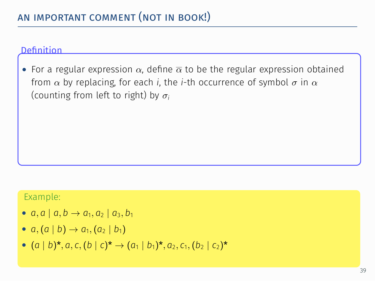*•* For a regular expression *α*, define *α* to be the regular expression obtained from *α* by replacing, for each *i*, the *i*-th occurrence of symbol *σ* in *α* (counting from left to right) by *σ<sup>i</sup>*

- $a, a \mid a, b \rightarrow a_1, a_2 \mid a_3, b_1$
- $a, (a | b) \rightarrow a_1, (a_2 | b_1)$
- $(a | b)^*, a, c, (b | c)^* \rightarrow (a_1 | b_1)^*, a_2, c_1, (b_2 | c_2)^*$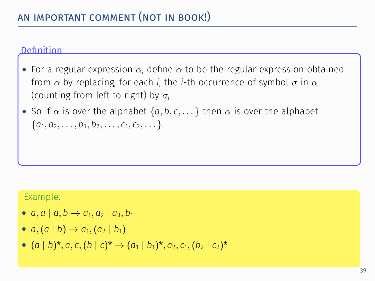- *•* For a regular expression *α*, define *α* to be the regular expression obtained from *α* by replacing, for each *i*, the *i*-th occurrence of symbol *σ* in *α* (counting from left to right) by *σ<sup>i</sup>*
- $\bullet$  So if  $\alpha$  is over the alphabet  $\{a, b, c, \dots\}$  then  $\overline{\alpha}$  is over the alphabet  ${a_1, a_2, \ldots, b_1, b_2, \ldots, c_1, c_2, \ldots}.$

- $a, a \mid a, b \rightarrow a_1, a_2 \mid a_3, b_1$
- $a, (a | b) \rightarrow a_1, (a_2 | b_1)$
- $(a | b)^*, a, c, (b | c)^* \rightarrow (a_1 | b_1)^*, a_2, c_1, (b_2 | c_2)^*$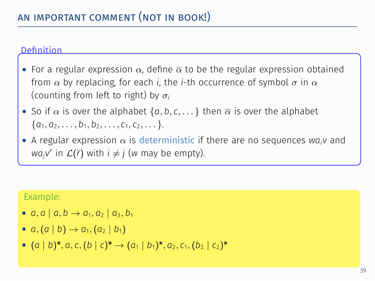- *•* For a regular expression *α*, define *α* to be the regular expression obtained from *α* by replacing, for each *i*, the *i*-th occurrence of symbol *σ* in *α* (counting from left to right) by *σ<sup>i</sup>*
- $\bullet$  So if  $\alpha$  is over the alphabet  $\{a, b, c, \dots\}$  then  $\overline{\alpha}$  is over the alphabet  ${a_1, a_2, \ldots, b_1, b_2, \ldots, c_1, c_2, \ldots}.$
- *•* A regular expression *α* is deterministic if there are no sequences *waiv* and *wa<sub>j</sub>v'* in  $\mathcal{L}(\bar{r})$  with  $i \neq j$  (*w* may be empty).

- $a, a \mid a, b \rightarrow a_1, a_2 \mid a_3, b_1$
- $a, (a | b) \rightarrow a_1, (a_2 | b_1)$
- $(a | b)^*, a, c, (b | c)^* \rightarrow (a_1 | b_1)^*, a_2, c_1, (b_2 | c_2)^*$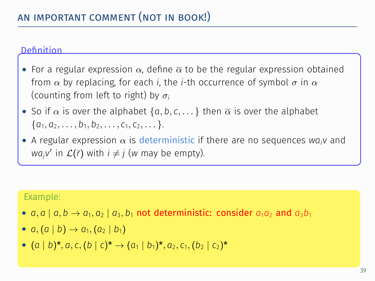- *•* For a regular expression *α*, define *α* to be the regular expression obtained from *α* by replacing, for each *i*, the *i*-th occurrence of symbol *σ* in *α* (counting from left to right) by *σ<sup>i</sup>*
- $\bullet$  So if  $\alpha$  is over the alphabet  $\{a, b, c, \dots\}$  then  $\overline{\alpha}$  is over the alphabet  ${a_1, a_2, \ldots, b_1, b_2, \ldots, c_1, c_2, \ldots}.$
- *•* A regular expression *α* is deterministic if there are no sequences *waiv* and *wa<sub>j</sub>v'* in  $\mathcal{L}(\bar{r})$  with  $i \neq j$  (*w* may be empty).

- *a*, *a* | *a*, *b*  $\rightarrow$  *a*<sub>1</sub>, *a*<sub>2</sub> | *a*<sub>3</sub>, *b*<sub>1</sub> not deterministic: consider *a*<sub>1</sub>*a*<sub>2</sub> and *a*<sub>3</sub>*b*<sub>1</sub>
- $a, (a | b) \rightarrow a_1, (a_2 | b_1)$
- $(a | b)^*, a, c, (b | c)^* \rightarrow (a_1 | b_1)^*, a_2, c_1, (b_2 | c_2)^*$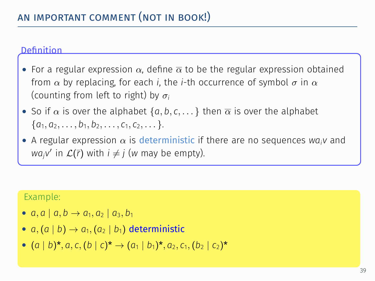- *•* For a regular expression *α*, define *α* to be the regular expression obtained from *α* by replacing, for each *i*, the *i*-th occurrence of symbol *σ* in *α* (counting from left to right) by *σ<sup>i</sup>*
- $\bullet$  So if  $\alpha$  is over the alphabet  $\{a, b, c, \dots\}$  then  $\overline{\alpha}$  is over the alphabet  ${a_1, a_2, \ldots, b_1, b_2, \ldots, c_1, c_2, \ldots}.$
- *•* A regular expression *α* is deterministic if there are no sequences *waiv* and *wa<sub>j</sub>v'* in  $\mathcal{L}(\bar{r})$  with  $i \neq j$  (*w* may be empty).

- $a, a \mid a, b \rightarrow a_1, a_2 \mid a_3, b_1$
- $a, (a | b) \rightarrow a_1, (a_2 | b_1)$  deterministic
- $(a | b)^*, a, c, (b | c)^* \rightarrow (a_1 | b_1)^*, a_2, c_1, (b_2 | c_2)^*$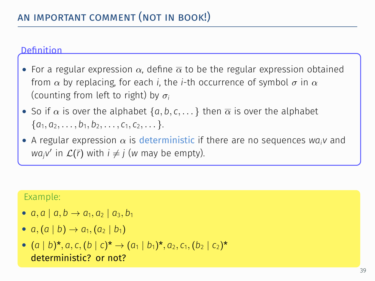- *•* For a regular expression *α*, define *α* to be the regular expression obtained from *α* by replacing, for each *i*, the *i*-th occurrence of symbol *σ* in *α* (counting from left to right) by *σ<sup>i</sup>*
- $\bullet$  So if  $\alpha$  is over the alphabet  $\{a, b, c, \dots\}$  then  $\overline{\alpha}$  is over the alphabet  ${a_1, a_2, \ldots, b_1, b_2, \ldots, c_1, c_2, \ldots}.$
- *•* A regular expression *α* is deterministic if there are no sequences *waiv* and *wa<sub>j</sub>v'* in  $\mathcal{L}(\bar{r})$  with  $i \neq j$  (*w* may be empty).

- $a, a \mid a, b \rightarrow a_1, a_2 \mid a_3, b_1$
- $a, (a | b) \rightarrow a_1, (a_2 | b_1)$

\n- (
$$
a \mid b
$$
)\*,  $a$ ,  $c$ ,  $(b \mid c)^*$   $\rightarrow$   $(a_1 \mid b_1)$ \*,  $a_2$ ,  $c_1$ ,  $(b_2 \mid c_2)$ \*
\n- deterministic? or not?
\n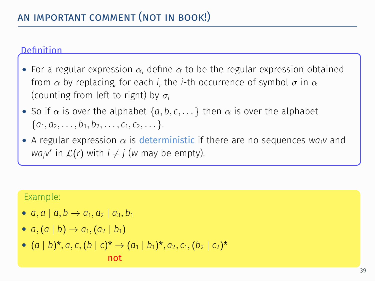- *•* For a regular expression *α*, define *α* to be the regular expression obtained from *α* by replacing, for each *i*, the *i*-th occurrence of symbol *σ* in *α* (counting from left to right) by *σ<sup>i</sup>*
- $\bullet$  So if  $\alpha$  is over the alphabet  $\{a, b, c, \dots\}$  then  $\overline{\alpha}$  is over the alphabet  ${a_1, a_2, \ldots, b_1, b_2, \ldots, c_1, c_2, \ldots}.$
- *•* A regular expression *α* is deterministic if there are no sequences *waiv* and *wa<sub>j</sub>v'* in  $\mathcal{L}(\bar{r})$  with  $i \neq j$  (*w* may be empty).

- $a, a \mid a, b \rightarrow a_1, a_2 \mid a_3, b_1$
- $a, (a | b) \rightarrow a_1, (a_2 | b_1)$
- $(a | b)^*, a, c, (b | c)^* \rightarrow (a_1 | b_1)^*, a_2, c_1, (b_2 | c_2)^*$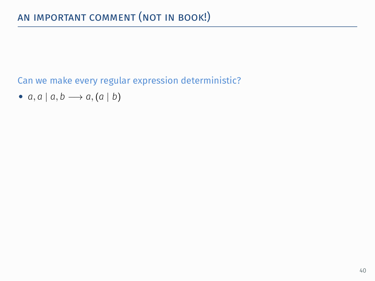Can we make every regular expression deterministic?

*• a, a | a, b −→ a,*(*a | b*)